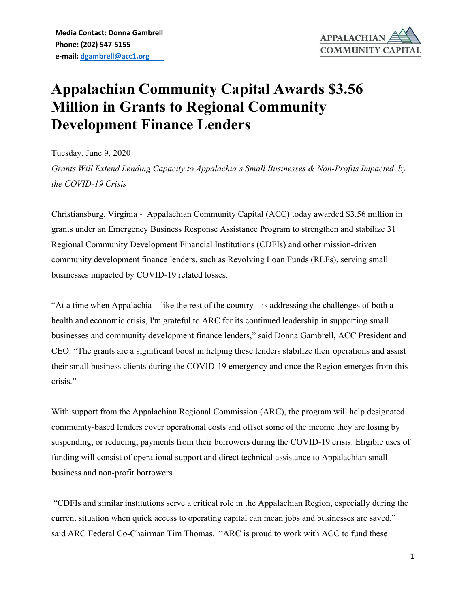

## **Appalachian Community Capital Awards \$3.56 Million in Grants to Regional Community Development Finance Lenders**

Tuesday, June 9, 2020 *Grants Will Extend Lending Capacity to Appalachia's Small Businesses & Non-Profits Impacted by the COVID-19 Crisis*

Christiansburg, Virginia - Appalachian Community Capital (ACC) today awarded \$3.56 million in grants under an Emergency Business Response Assistance Program to strengthen and stabilize 31 Regional Community Development Financial Institutions (CDFIs) and other mission-driven community development finance lenders, such as Revolving Loan Funds (RLFs), serving small businesses impacted by COVID-19 related losses.

"At a time when Appalachia—like the rest of the country-- is addressing the challenges of both a health and economic crisis, I'm grateful to ARC for its continued leadership in supporting small businesses and community development finance lenders," said Donna Gambrell, ACC President and CEO. "The grants are a significant boost in helping these lenders stabilize their operations and assist their small business clients during the COVID-19 emergency and once the Region emerges from this crisis."

With support from the Appalachian Regional Commission (ARC), the program will help designated community-based lenders cover operational costs and offset some of the income they are losing by suspending, or reducing, payments from their borrowers during the COVID-19 crisis. Eligible uses of funding will consist of operational support and direct technical assistance to Appalachian small business and non-profit borrowers.

"CDFIs and similar institutions serve a critical role in the Appalachian Region, especially during the current situation when quick access to operating capital can mean jobs and businesses are saved," said ARC Federal Co-Chairman Tim Thomas. "ARC is proud to work with ACC to fund these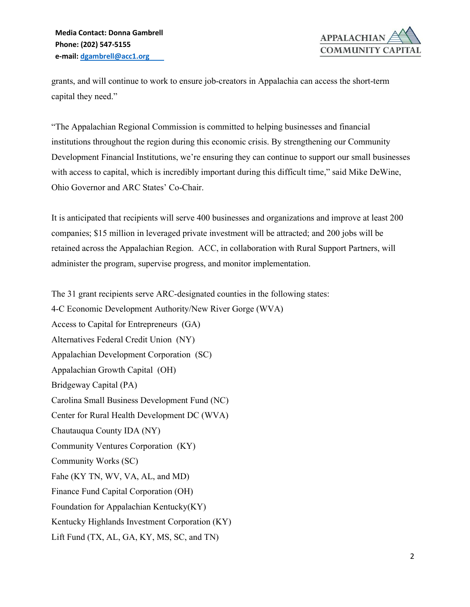

grants, and will continue to work to ensure job-creators in Appalachia can access the short-term capital they need."

"The Appalachian Regional Commission is committed to helping businesses and financial institutions throughout the region during this economic crisis. By strengthening our Community Development Financial Institutions, we're ensuring they can continue to support our small businesses with access to capital, which is incredibly important during this difficult time," said Mike DeWine, Ohio Governor and ARC States' Co-Chair.

It is anticipated that recipients will serve 400 businesses and organizations and improve at least 200 companies; \$15 million in leveraged private investment will be attracted; and 200 jobs will be retained across the Appalachian Region. ACC, in collaboration with Rural Support Partners, will administer the program, supervise progress, and monitor implementation.

The 31 grant recipients serve ARC-designated counties in the following states:

4-C Economic Development Authority/New River Gorge (WVA) Access to Capital for Entrepreneurs (GA) Alternatives Federal Credit Union (NY) Appalachian Development Corporation (SC) Appalachian Growth Capital (OH) Bridgeway Capital (PA) Carolina Small Business Development Fund (NC) Center for Rural Health Development DC (WVA) Chautauqua County IDA (NY) Community Ventures Corporation (KY) Community Works (SC) Fahe (KY TN, WV, VA, AL, and MD) Finance Fund Capital Corporation (OH) Foundation for Appalachian Kentucky(KY) Kentucky Highlands Investment Corporation (KY) Lift Fund (TX, AL, GA, KY, MS, SC, and TN)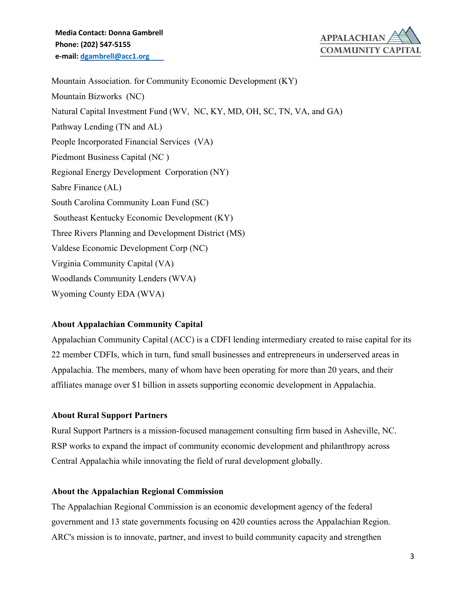

Mountain Association. for Community Economic Development (KY) Mountain Bizworks (NC) Natural Capital Investment Fund (WV, NC, KY, MD, OH, SC, TN, VA, and GA) Pathway Lending (TN and AL) People Incorporated Financial Services (VA) Piedmont Business Capital (NC ) Regional Energy Development Corporation (NY) Sabre Finance (AL) South Carolina Community Loan Fund (SC) Southeast Kentucky Economic Development (KY) Three Rivers Planning and Development District (MS) Valdese Economic Development Corp (NC) Virginia Community Capital (VA) Woodlands Community Lenders (WVA) Wyoming County EDA (WVA)

## **About Appalachian Community Capital**

Appalachian Community Capital (ACC) is a CDFI lending intermediary created to raise capital for its 22 member CDFIs, which in turn, fund small businesses and entrepreneurs in underserved areas in Appalachia. The members, many of whom have been operating for more than 20 years, and their affiliates manage over \$1 billion in assets supporting economic development in Appalachia.

## **About Rural Support Partners**

Rural Support Partners is a mission-focused management consulting firm based in Asheville, NC. RSP works to expand the impact of community economic development and philanthropy across Central Appalachia while innovating the field of rural development globally.

## **About the Appalachian Regional Commission**

The Appalachian Regional Commission is an economic development agency of the federal government and 13 state governments focusing on 420 counties across the Appalachian Region. ARC's mission is to innovate, partner, and invest to build community capacity and strengthen